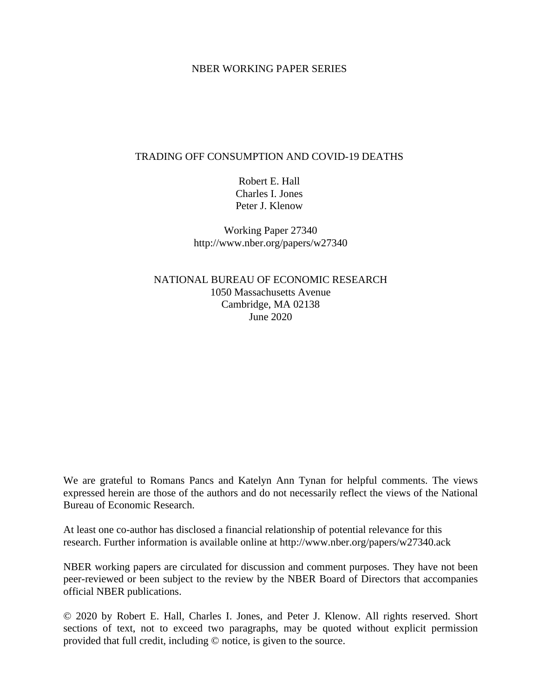### NBER WORKING PAPER SERIES

### TRADING OFF CONSUMPTION AND COVID-19 DEATHS

Robert E. Hall Charles I. Jones Peter J. Klenow

Working Paper 27340 http://www.nber.org/papers/w27340

NATIONAL BUREAU OF ECONOMIC RESEARCH 1050 Massachusetts Avenue Cambridge, MA 02138 June 2020

We are grateful to Romans Pancs and Katelyn Ann Tynan for helpful comments. The views expressed herein are those of the authors and do not necessarily reflect the views of the National Bureau of Economic Research.

At least one co-author has disclosed a financial relationship of potential relevance for this research. Further information is available online at http://www.nber.org/papers/w27340.ack

NBER working papers are circulated for discussion and comment purposes. They have not been peer-reviewed or been subject to the review by the NBER Board of Directors that accompanies official NBER publications.

© 2020 by Robert E. Hall, Charles I. Jones, and Peter J. Klenow. All rights reserved. Short sections of text, not to exceed two paragraphs, may be quoted without explicit permission provided that full credit, including © notice, is given to the source.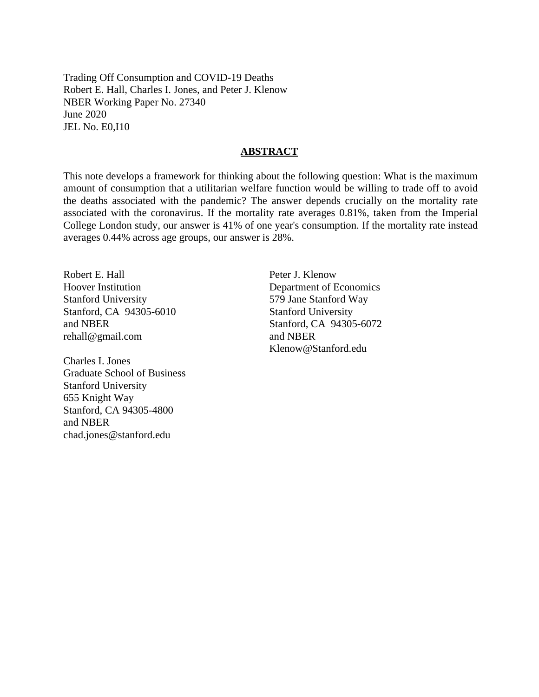Trading Off Consumption and COVID-19 Deaths Robert E. Hall, Charles I. Jones, and Peter J. Klenow NBER Working Paper No. 27340 June 2020 JEL No. E0,I10

### **ABSTRACT**

This note develops a framework for thinking about the following question: What is the maximum amount of consumption that a utilitarian welfare function would be willing to trade off to avoid the deaths associated with the pandemic? The answer depends crucially on the mortality rate associated with the coronavirus. If the mortality rate averages 0.81%, taken from the Imperial College London study, our answer is 41% of one year's consumption. If the mortality rate instead averages 0.44% across age groups, our answer is 28%.

Robert E. Hall Hoover Institution Stanford University Stanford, CA 94305-6010 and NBER rehall@gmail.com

Charles I. Jones Graduate School of Business Stanford University 655 Knight Way Stanford, CA 94305-4800 and NBER chad.jones@stanford.edu

Peter J. Klenow Department of Economics 579 Jane Stanford Way Stanford University Stanford, CA 94305-6072 and NBER Klenow@Stanford.edu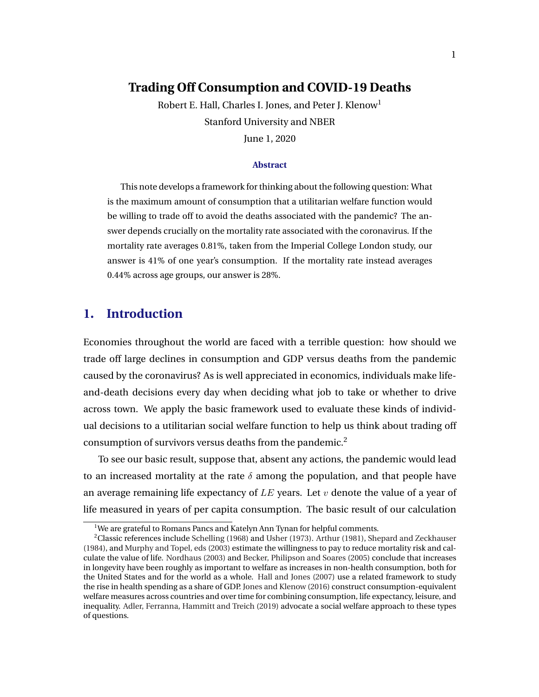# **Trading Off Consumption and COVID-19 Deaths**

Robert E. Hall, Charles I. Jones, and Peter J. Klenow<sup>1</sup> Stanford University and NBER June 1, 2020

#### **Abstract**

This note develops a framework for thinking about the following question: What is the maximum amount of consumption that a utilitarian welfare function would be willing to trade off to avoid the deaths associated with the pandemic? The answer depends crucially on the mortality rate associated with the coronavirus. If the mortality rate averages 0.81%, taken from the Imperial College London study, our answer is 41% of one year's consumption. If the mortality rate instead averages 0.44% across age groups, our answer is 28%.

# **1. Introduction**

Economies throughout the world are faced with a terrible question: how should we trade off large declines in consumption and GDP versus deaths from the pandemic caused by the coronavirus? As is well appreciated in economics, individuals make lifeand-death decisions every day when deciding what job to take or whether to drive across town. We apply the basic framework used to evaluate these kinds of individual decisions to a utilitarian social welfare function to help us think about trading off consumption of survivors versus deaths from the pandemic.<sup>2</sup>

To see our basic result, suppose that, absent any actions, the pandemic would lead to an increased mortality at the rate  $\delta$  among the population, and that people have an average remaining life expectancy of  $LE$  years. Let v denote the value of a year of life measured in years of per capita consumption. The basic result of our calculation

<sup>&</sup>lt;sup>1</sup>We are grateful to Romans Pancs and Katelyn Ann Tynan for helpful comments.

<sup>2</sup>Classic references include [Schelling](#page-16-0) [\(1968\)](#page-16-0) and [Usher](#page-16-0) [\(1973\)](#page-16-0). [Arthur](#page-15-0) [\(1981\)](#page-15-0), [Shepard and Zeckhauser](#page-16-0) [\(1984\)](#page-16-0), and [Murphy and Topel, eds](#page-16-0) [\(2003\)](#page-16-0) estimate the willingness to pay to reduce mortality risk and calculate the value of life. [Nordhaus](#page-16-0) [\(2003\)](#page-16-0) and [Becker, Philipson and Soares](#page-15-0) [\(2005\)](#page-15-0) conclude that increases in longevity have been roughly as important to welfare as increases in non-health consumption, both for the United States and for the world as a whole. [Hall and Jones](#page-15-0) [\(2007\)](#page-15-0) use a related framework to study the rise in health spending as a share of GDP. [Jones and Klenow](#page-15-0) [\(2016\)](#page-15-0) construct consumption-equivalent welfare measures across countries and over time for combining consumption, life expectancy, leisure, and inequality. [Adler, Ferranna, Hammitt and Treich](#page-14-0) [\(2019\)](#page-14-0) advocate a social welfare approach to these types of questions.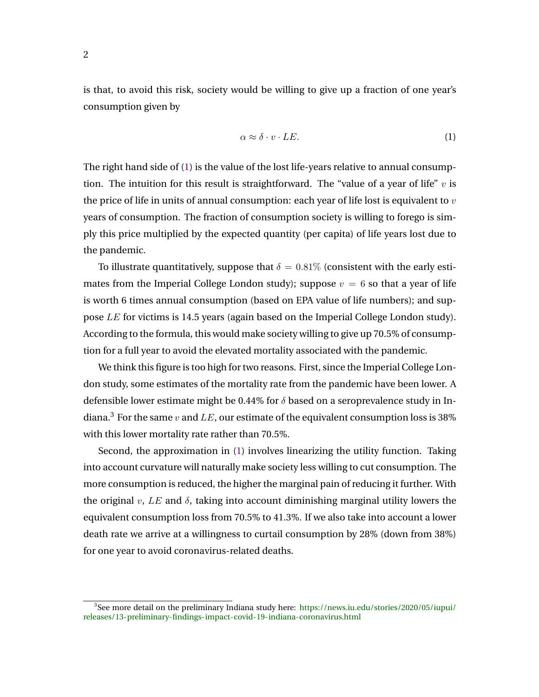<span id="page-3-0"></span>is that, to avoid this risk, society would be willing to give up a fraction of one year's consumption given by

$$
\alpha \approx \delta \cdot v \cdot LE. \tag{1}
$$

The right hand side of (1) is the value of the lost life-years relative to annual consumption. The intuition for this result is straightforward. The "value of a year of life"  $v$  is the price of life in units of annual consumption: each year of life lost is equivalent to  $v$ years of consumption. The fraction of consumption society is willing to forego is simply this price multiplied by the expected quantity (per capita) of life years lost due to the pandemic.

To illustrate quantitatively, suppose that  $\delta = 0.81\%$  (consistent with the early estimates from the Imperial College London study); suppose  $v = 6$  so that a year of life is worth 6 times annual consumption (based on EPA value of life numbers); and suppose LE for victims is 14.5 years (again based on the Imperial College London study). According to the formula, this would make society willing to give up 70.5% of consumption for a full year to avoid the elevated mortality associated with the pandemic.

We think this figure is too high for two reasons. First, since the Imperial College London study, some estimates of the mortality rate from the pandemic have been lower. A defensible lower estimate might be 0.44% for  $\delta$  based on a seroprevalence study in Indiana.<sup>3</sup> For the same v and LE, our estimate of the equivalent consumption loss is 38% with this lower mortality rate rather than 70.5%.

Second, the approximation in (1) involves linearizing the utility function. Taking into account curvature will naturally make society less willing to cut consumption. The more consumption is reduced, the higher the marginal pain of reducing it further. With the original v, LE and  $\delta$ , taking into account diminishing marginal utility lowers the equivalent consumption loss from 70.5% to 41.3%. If we also take into account a lower death rate we arrive at a willingness to curtail consumption by 28% (down from 38%) for one year to avoid coronavirus-related deaths.

<sup>3</sup> See more detail on the preliminary Indiana study here: [https://news.iu.edu/stories/2020/05/iupui/](https://news.iu.edu/stories/2020/05/iupui/releases/13-preliminary-findings-impact-covid-19-indiana-coronavirus.html) [releases/13-preliminary-findings-impact-covid-19-indiana-coronavirus.html](https://news.iu.edu/stories/2020/05/iupui/releases/13-preliminary-findings-impact-covid-19-indiana-coronavirus.html)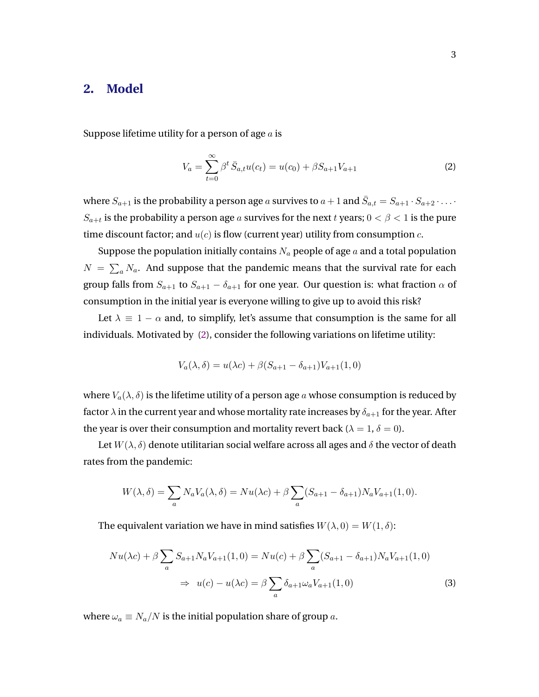### <span id="page-4-0"></span>**2. Model**

Suppose lifetime utility for a person of age  $a$  is

$$
V_a = \sum_{t=0}^{\infty} \beta^t \bar{S}_{a,t} u(c_t) = u(c_0) + \beta S_{a+1} V_{a+1}
$$
 (2)

where  $S_{a+1}$  is the probability a person age  $a$  survives to  $a+1$  and  $\bar{S}_{a,t}=S_{a+1}\cdot S_{a+2}\cdot\ldots\cdot S_{a+t}$  $S_{a+t}$  is the probability a person age  $a$  survives for the next  $t$  years;  $0<\beta< 1$  is the pure time discount factor; and  $u(c)$  is flow (current year) utility from consumption  $c$ .

Suppose the population initially contains  $N_a$  people of age  $a$  and a total population  $N = \sum_a N_a$ . And suppose that the pandemic means that the survival rate for each group falls from  $S_{a+1}$  to  $S_{a+1} - \delta_{a+1}$  for one year. Our question is: what fraction  $\alpha$  of consumption in the initial year is everyone willing to give up to avoid this risk?

Let  $\lambda \equiv 1 - \alpha$  and, to simplify, let's assume that consumption is the same for all individuals. Motivated by (2), consider the following variations on lifetime utility:

$$
V_a(\lambda, \delta) = u(\lambda c) + \beta (S_{a+1} - \delta_{a+1}) V_{a+1}(1, 0)
$$

where  $V_a(\lambda, \delta)$  is the lifetime utility of a person age a whose consumption is reduced by factor  $\lambda$  in the current year and whose mortality rate increases by  $\delta_{a+1}$  for the year. After the year is over their consumption and mortality revert back ( $\lambda = 1$ ,  $\delta = 0$ ).

Let  $W(\lambda, \delta)$  denote utilitarian social welfare across all ages and  $\delta$  the vector of death rates from the pandemic:

$$
W(\lambda, \delta) = \sum_{a} N_a V_a(\lambda, \delta) = Nu(\lambda c) + \beta \sum_{a} (S_{a+1} - \delta_{a+1}) N_a V_{a+1}(1, 0).
$$

The equivalent variation we have in mind satisfies  $W(\lambda, 0) = W(1, \delta)$ :

$$
Nu(\lambda c) + \beta \sum_{a} S_{a+1} N_a V_{a+1}(1,0) = Nu(c) + \beta \sum_{a} (S_{a+1} - \delta_{a+1}) N_a V_{a+1}(1,0)
$$
  

$$
\Rightarrow u(c) - u(\lambda c) = \beta \sum_{a} \delta_{a+1} \omega_a V_{a+1}(1,0)
$$
 (3)

where  $\omega_a \equiv N_a/N$  is the initial population share of group a.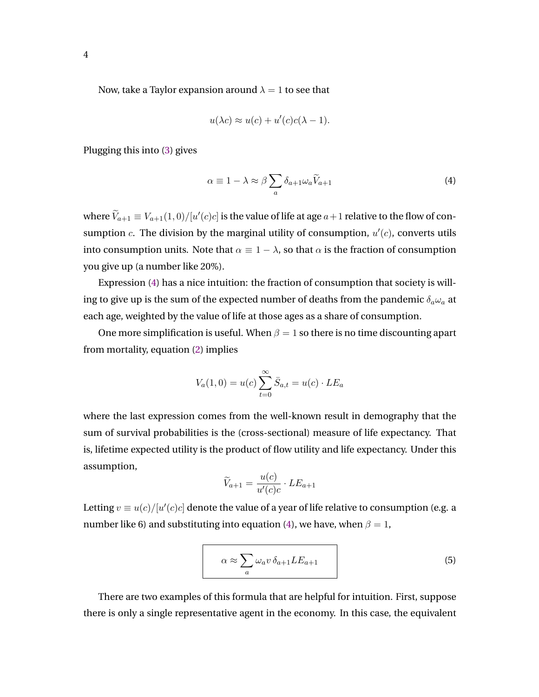<span id="page-5-0"></span>Now, take a Taylor expansion around  $\lambda = 1$  to see that

$$
u(\lambda c) \approx u(c) + u'(c)c(\lambda - 1).
$$

Plugging this into [\(3\)](#page-4-0) gives

$$
\alpha \equiv 1 - \lambda \approx \beta \sum_{a} \delta_{a+1} \omega_a \widetilde{V}_{a+1} \tag{4}
$$

where  $\widetilde{V}_{a+1} \equiv V_{a+1}(1,0)/[u'(c)c]$  is the value of life at age  $a+1$  relative to the flow of consumption  $c$ . The division by the marginal utility of consumption,  $u'(c)$ , converts utils into consumption units. Note that  $\alpha \equiv 1 - \lambda$ , so that  $\alpha$  is the fraction of consumption you give up (a number like 20%).

Expression (4) has a nice intuition: the fraction of consumption that society is willing to give up is the sum of the expected number of deaths from the pandemic  $\delta_a\omega_a$  at each age, weighted by the value of life at those ages as a share of consumption.

One more simplification is useful. When  $\beta = 1$  so there is no time discounting apart from mortality, equation [\(2\)](#page-4-0) implies

$$
V_a(1,0) = u(c) \sum_{t=0}^{\infty} \bar{S}_{a,t} = u(c) \cdot LE_a
$$

where the last expression comes from the well-known result in demography that the sum of survival probabilities is the (cross-sectional) measure of life expectancy. That is, lifetime expected utility is the product of flow utility and life expectancy. Under this assumption,

$$
\widetilde{V}_{a+1} = \frac{u(c)}{u'(c)c} \cdot LE_{a+1}
$$

Letting  $v \equiv u(c)/[u'(c)c]$  denote the value of a year of life relative to consumption (e.g. a number like 6) and substituting into equation (4), we have, when  $\beta = 1$ ,

$$
\alpha \approx \sum_{a} \omega_a v \, \delta_{a+1} L E_{a+1} \tag{5}
$$

There are two examples of this formula that are helpful for intuition. First, suppose there is only a single representative agent in the economy. In this case, the equivalent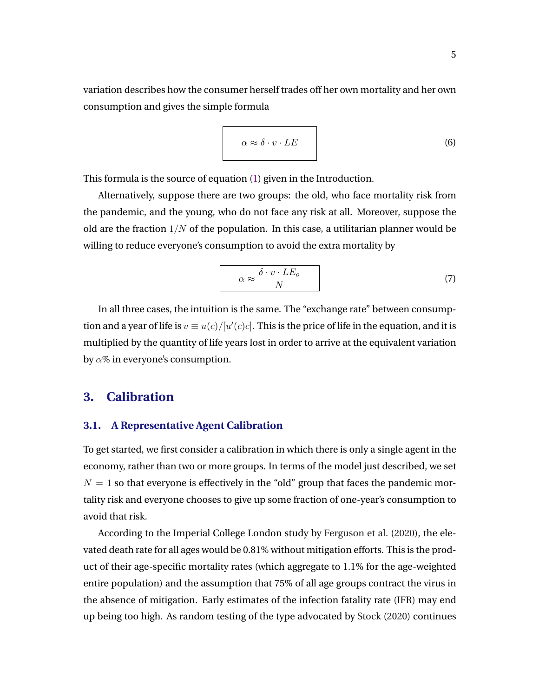<span id="page-6-0"></span>variation describes how the consumer herself trades off her own mortality and her own consumption and gives the simple formula

$$
\alpha \approx \delta \cdot v \cdot LE \tag{6}
$$

This formula is the source of equation [\(1\)](#page-3-0) given in the Introduction.

Alternatively, suppose there are two groups: the old, who face mortality risk from the pandemic, and the young, who do not face any risk at all. Moreover, suppose the old are the fraction  $1/N$  of the population. In this case, a utilitarian planner would be willing to reduce everyone's consumption to avoid the extra mortality by

$$
\alpha \approx \frac{\delta \cdot v \cdot LE_o}{N} \tag{7}
$$

In all three cases, the intuition is the same. The "exchange rate" between consumption and a year of life is  $v \equiv u(c)/[u'(c)c]$ . This is the price of life in the equation, and it is multiplied by the quantity of life years lost in order to arrive at the equivalent variation by  $\alpha$ % in everyone's consumption.

# **3. Calibration**

#### **3.1. A Representative Agent Calibration**

To get started, we first consider a calibration in which there is only a single agent in the economy, rather than two or more groups. In terms of the model just described, we set  $N = 1$  so that everyone is effectively in the "old" group that faces the pandemic mortality risk and everyone chooses to give up some fraction of one-year's consumption to avoid that risk.

According to the Imperial College London study by [Ferguson et al.](#page-15-0) [\(2020\)](#page-15-0), the elevated death rate for all ages would be 0.81% without mitigation efforts. This is the product of their age-specific mortality rates (which aggregate to 1.1% for the age-weighted entire population) and the assumption that 75% of all age groups contract the virus in the absence of mitigation. Early estimates of the infection fatality rate (IFR) may end up being too high. As random testing of the type advocated by [Stock](#page-16-0) [\(2020\)](#page-16-0) continues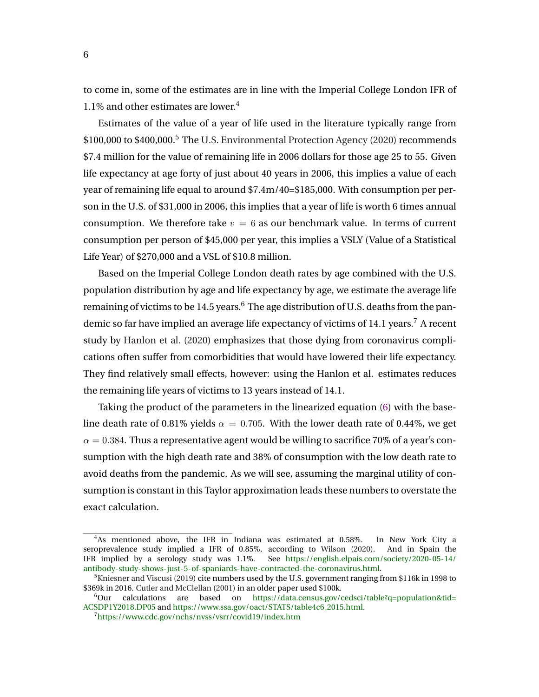to come in, some of the estimates are in line with the Imperial College London IFR of 1.1% and other estimates are lower.<sup>4</sup>

Estimates of the value of a year of life used in the literature typically range from \$100,000 to \$400,000.<sup>5</sup> The [U.S. Environmental Protection Agency](#page-16-0) [\(2020\)](#page-16-0) recommends \$7.4 million for the value of remaining life in 2006 dollars for those age 25 to 55. Given life expectancy at age forty of just about 40 years in 2006, this implies a value of each year of remaining life equal to around \$7.4m/40=\$185,000. With consumption per person in the U.S. of \$31,000 in 2006, this implies that a year of life is worth 6 times annual consumption. We therefore take  $v = 6$  as our benchmark value. In terms of current consumption per person of \$45,000 per year, this implies a VSLY (Value of a Statistical Life Year) of \$270,000 and a VSL of \$10.8 million.

Based on the Imperial College London death rates by age combined with the U.S. population distribution by age and life expectancy by age, we estimate the average life remaining of victims to be  $14.5$  years.<sup>6</sup> The age distribution of U.S. deaths from the pandemic so far have implied an average life expectancy of victims of 14.1 years.<sup>7</sup> A recent study by [Hanlon et al.](#page-15-0) [\(2020\)](#page-15-0) emphasizes that those dying from coronavirus complications often suffer from comorbidities that would have lowered their life expectancy. They find relatively small effects, however: using the Hanlon et al. estimates reduces the remaining life years of victims to 13 years instead of 14.1.

Taking the product of the parameters in the linearized equation [\(6\)](#page-6-0) with the baseline death rate of 0.81% yields  $\alpha = 0.705$ . With the lower death rate of 0.44%, we get  $\alpha = 0.384$ . Thus a representative agent would be willing to sacrifice 70% of a year's consumption with the high death rate and 38% of consumption with the low death rate to avoid deaths from the pandemic. As we will see, assuming the marginal utility of consumption is constant in this Taylor approximation leads these numbers to overstate the exact calculation.

<sup>4</sup>As mentioned above, the IFR in Indiana was estimated at 0.58%. In New York City a seroprevalence study implied a IFR of 0.85%, according to [Wilson](#page-16-0) [\(2020\)](#page-16-0). And in Spain the IFR implied by a serology study was 1.1%. See [https://english.elpais.com/society/2020-05-14/](https://english.elpais.com/society/2020-05-14/antibody-study-shows-just-5-of-spaniards-have-contracted-the-coronavirus.html) [antibody-study-shows-just-5-of-spaniards-have-contracted-the-coronavirus.html.](https://english.elpais.com/society/2020-05-14/antibody-study-shows-just-5-of-spaniards-have-contracted-the-coronavirus.html)

 $5$ [Kniesner and Viscusi](#page-16-0) [\(2019\)](#page-16-0) cite numbers used by the U.S. government ranging from \$116k in 1998 to \$369k in 2016. [Cutler and McClellan](#page-15-0) [\(2001\)](#page-15-0) in an older paper used \$100k.

<sup>6</sup>Our calculations are based on [https://data.census.gov/cedsci/table?q=population&tid=](https://data.census.gov/cedsci/table?q=population&tid=ACSDP1Y2018.DP05) [ACSDP1Y2018.DP05](https://data.census.gov/cedsci/table?q=population&tid=ACSDP1Y2018.DP05) and [https://www.ssa.gov/oact/STATS/table4c6](https://www.ssa.gov/oact/STATS/table4c6_2015.html) 2015.html.

<sup>7</sup><https://www.cdc.gov/nchs/nvss/vsrr/covid19/index.htm>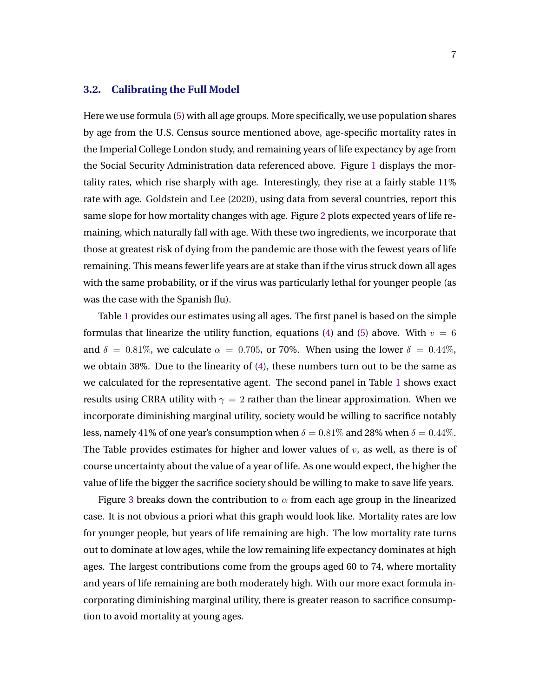### **3.2. Calibrating the Full Model**

Here we use formula [\(5\)](#page-5-0) with all age groups. More specifically, we use population shares by age from the U.S. Census source mentioned above, age-specific mortality rates in the Imperial College London study, and remaining years of life expectancy by age from the Social Security Administration data referenced above. Figure [1](#page-9-0) displays the mortality rates, which rise sharply with age. Interestingly, they rise at a fairly stable 11% rate with age. [Goldstein and Lee](#page-15-0) [\(2020\)](#page-15-0), using data from several countries, report this same slope for how mortality changes with age. Figure [2](#page-9-0) plots expected years of life remaining, which naturally fall with age. With these two ingredients, we incorporate that those at greatest risk of dying from the pandemic are those with the fewest years of life remaining. This means fewer life years are at stake than if the virus struck down all ages with the same probability, or if the virus was particularly lethal for younger people (as was the case with the Spanish flu).

Table [1](#page-10-0) provides our estimates using all ages. The first panel is based on the simple formulas that linearize the utility function, equations [\(4\)](#page-5-0) and [\(5\)](#page-5-0) above. With  $v = 6$ and  $\delta = 0.81\%$ , we calculate  $\alpha = 0.705$ , or 70%. When using the lower  $\delta = 0.44\%$ , we obtain 38%. Due to the linearity of [\(4\)](#page-5-0), these numbers turn out to be the same as we calculated for the representative agent. The second panel in Table [1](#page-10-0) shows exact results using CRRA utility with  $\gamma = 2$  rather than the linear approximation. When we incorporate diminishing marginal utility, society would be willing to sacrifice notably less, namely 41% of one year's consumption when  $\delta = 0.81\%$  and 28% when  $\delta = 0.44\%$ . The Table provides estimates for higher and lower values of  $v$ , as well, as there is of course uncertainty about the value of a year of life. As one would expect, the higher the value of life the bigger the sacrifice society should be willing to make to save life years.

Figure [3](#page-11-0) breaks down the contribution to  $\alpha$  from each age group in the linearized case. It is not obvious a priori what this graph would look like. Mortality rates are low for younger people, but years of life remaining are high. The low mortality rate turns out to dominate at low ages, while the low remaining life expectancy dominates at high ages. The largest contributions come from the groups aged 60 to 74, where mortality and years of life remaining are both moderately high. With our more exact formula incorporating diminishing marginal utility, there is greater reason to sacrifice consumption to avoid mortality at young ages.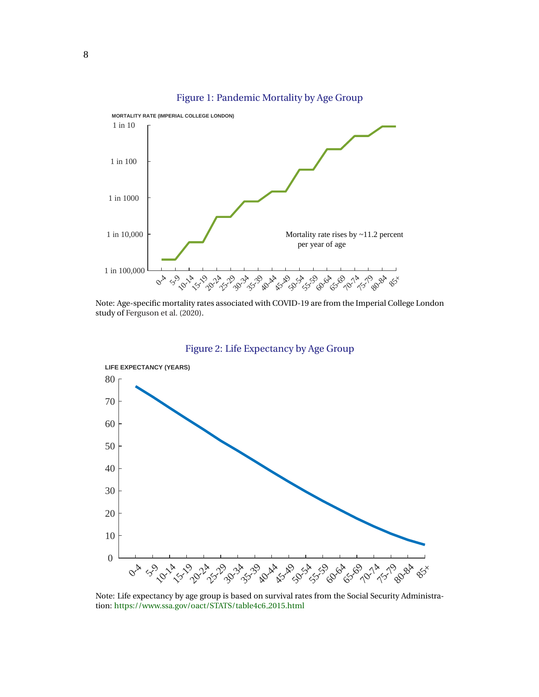<span id="page-9-0"></span>

Figure 1: Pandemic Mortality by Age Group

Note: Age-specific mortality rates associated with COVID-19 are from the Imperial College London study of [Ferguson et al.](#page-15-0) [\(2020\)](#page-15-0).



Figure 2: Life Expectancy by Age Group

Note: Life expectancy by age group is based on survival rates from the Social Security Administration: [https://www.ssa.gov/oact/STATS/table4c6](https://www.ssa.gov/oact/STATS/table4c6_2015.html) 2015.html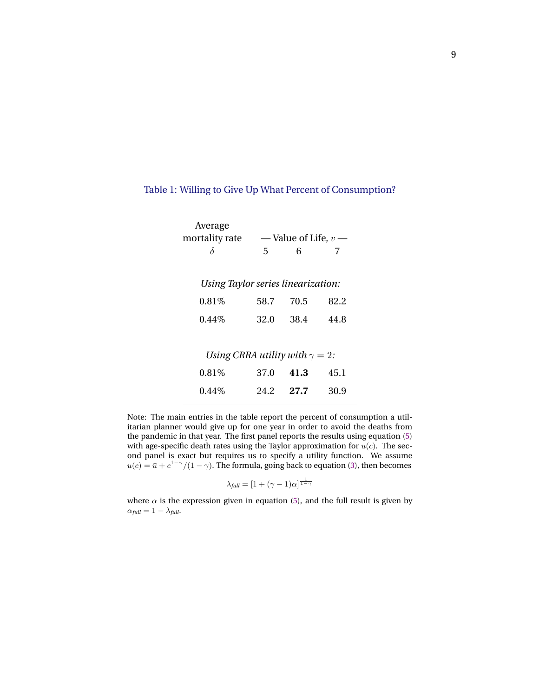| Average                                |                        |      |      |
|----------------------------------------|------------------------|------|------|
| mortality rate                         | — Value of Life, $v$ — |      |      |
| δ                                      | 5                      | 6    | 7    |
|                                        |                        |      |      |
| Using Taylor series linearization:     |                        |      |      |
| $0.81\%$                               | 58.7                   | 70.5 | 82.2 |
| $0.44\%$                               | 32.O                   | 38.4 | 44.8 |
|                                        |                        |      |      |
| Using CRRA utility with $\gamma = 2$ : |                        |      |      |
| $0.81\%$                               | 37.0                   | 41.3 | 45.1 |
| $0.44\%$                               | 24.2                   | 27.7 | 30.9 |
|                                        |                        |      |      |

### <span id="page-10-0"></span>Table 1: Willing to Give Up What Percent of Consumption?

Note: The main entries in the table report the percent of consumption a utilitarian planner would give up for one year in order to avoid the deaths from the pandemic in that year. The first panel reports the results using equation [\(5\)](#page-5-0) with age-specific death rates using the Taylor approximation for  $u(c)$ . The second panel is exact but requires us to specify a utility function. We assume  $u(c) = \bar{u} + c^{1-\gamma}/(1-\gamma)$ . The formula, going back to equation [\(3\)](#page-4-0), then becomes

$$
\lambda_{\text{full}} = [1 + (\gamma - 1)\alpha]^{\frac{1}{1-\gamma}}
$$

where  $\alpha$  is the expression given in equation [\(5\)](#page-5-0), and the full result is given by  $\alpha_{\text{full}} = 1 - \lambda_{\text{full}}.$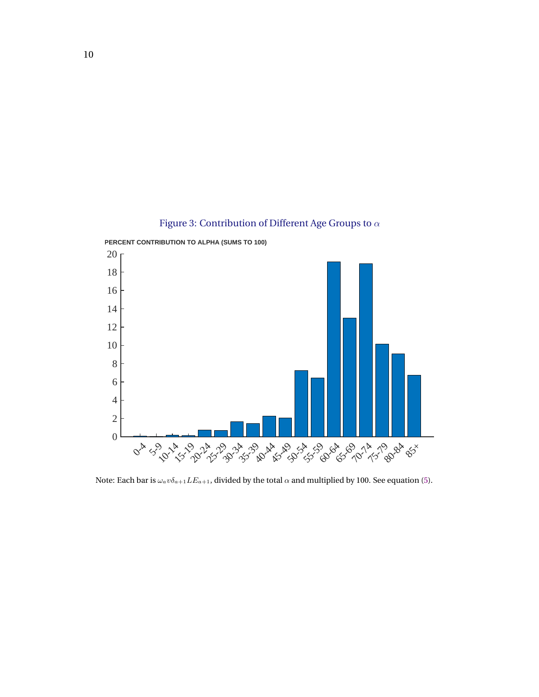<span id="page-11-0"></span>

Figure 3: Contribution of Different Age Groups to  $\alpha$ 

Note: Each bar is  $\omega_a v \delta_{a+1} L E_{a+1}$  divided by the total  $\alpha$  and multiplied by 100. See equation [\(5\)](#page-5-0).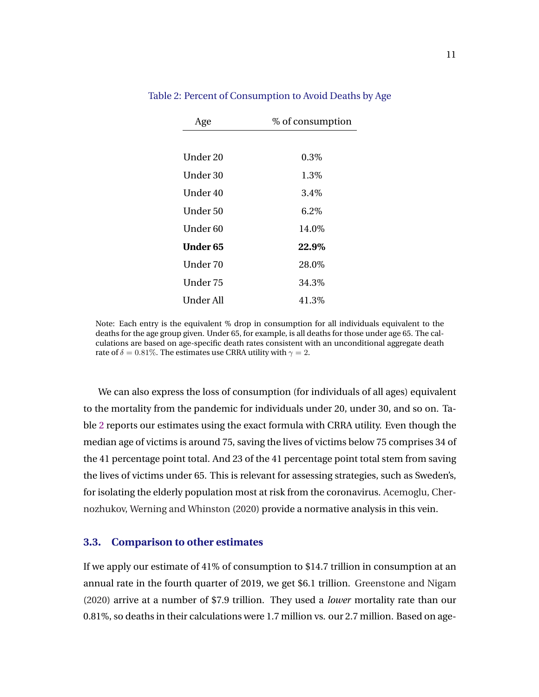| Age       | % of consumption |  |  |
|-----------|------------------|--|--|
|           |                  |  |  |
| Under 20  | $0.3\%$          |  |  |
| Under 30  | 1.3%             |  |  |
| Under 40  | 3.4\%            |  |  |
| Under 50  | $6.2\%$          |  |  |
| Under 60  | 14.0%            |  |  |
| Under 65  | 22.9%            |  |  |
| Under 70  | 28.0%            |  |  |
| Under 75  | 34.3%            |  |  |
| Under All | 41.3%            |  |  |

Table 2: Percent of Consumption to Avoid Deaths by Age

Note: Each entry is the equivalent % drop in consumption for all individuals equivalent to the deaths for the age group given. Under 65, for example, is all deaths for those under age 65. The calculations are based on age-specific death rates consistent with an unconditional aggregate death rate of  $\delta = 0.81\%$ . The estimates use CRRA utility with  $\gamma = 2$ .

We can also express the loss of consumption (for individuals of all ages) equivalent to the mortality from the pandemic for individuals under 20, under 30, and so on. Table 2 reports our estimates using the exact formula with CRRA utility. Even though the median age of victims is around 75, saving the lives of victims below 75 comprises 34 of the 41 percentage point total. And 23 of the 41 percentage point total stem from saving the lives of victims under 65. This is relevant for assessing strategies, such as Sweden's, for isolating the elderly population most at risk from the coronavirus. [Acemoglu, Cher](#page-14-0)[nozhukov, Werning and Whinston](#page-14-0) [\(2020\)](#page-14-0) provide a normative analysis in this vein.

#### **3.3. Comparison to other estimates**

If we apply our estimate of 41% of consumption to \$14.7 trillion in consumption at an annual rate in the fourth quarter of 2019, we get \$6.1 trillion. [Greenstone and Nigam](#page-15-0) [\(2020\)](#page-15-0) arrive at a number of \$7.9 trillion. They used a *lower* mortality rate than our 0.81%, so deaths in their calculations were 1.7 million vs. our 2.7 million. Based on age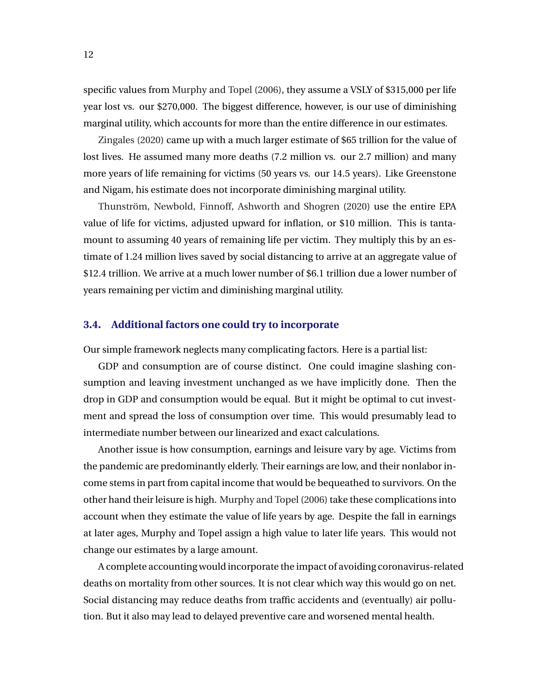specific values from [Murphy and Topel](#page-16-0) [\(2006\)](#page-16-0), they assume a VSLY of \$315,000 per life year lost vs. our \$270,000. The biggest difference, however, is our use of diminishing marginal utility, which accounts for more than the entire difference in our estimates.

[Zingales](#page-16-0) [\(2020\)](#page-16-0) came up with a much larger estimate of \$65 trillion for the value of lost lives. He assumed many more deaths  $(7.2 \text{ million vs. our } 2.7 \text{ million})$  and many more years of life remaining for victims (50 years vs. our 14.5 years). Like Greenstone and Nigam, his estimate does not incorporate diminishing marginal utility.

Thunström, Newbold, Finnoff, Ashworth and Shogren [\(2020\)](#page-16-0) use the entire EPA value of life for victims, adjusted upward for inflation, or \$10 million. This is tantamount to assuming 40 years of remaining life per victim. They multiply this by an estimate of 1.24 million lives saved by social distancing to arrive at an aggregate value of \$12.4 trillion. We arrive at a much lower number of \$6.1 trillion due a lower number of years remaining per victim and diminishing marginal utility.

#### **3.4. Additional factors one could try to incorporate**

Our simple framework neglects many complicating factors. Here is a partial list:

GDP and consumption are of course distinct. One could imagine slashing consumption and leaving investment unchanged as we have implicitly done. Then the drop in GDP and consumption would be equal. But it might be optimal to cut investment and spread the loss of consumption over time. This would presumably lead to intermediate number between our linearized and exact calculations.

Another issue is how consumption, earnings and leisure vary by age. Victims from the pandemic are predominantly elderly. Their earnings are low, and their nonlabor income stems in part from capital income that would be bequeathed to survivors. On the other hand their leisure is high. [Murphy and Topel](#page-16-0) [\(2006\)](#page-16-0) take these complications into account when they estimate the value of life years by age. Despite the fall in earnings at later ages, Murphy and Topel assign a high value to later life years. This would not change our estimates by a large amount.

A complete accounting would incorporate the impact of avoiding coronavirus-related deaths on mortality from other sources. It is not clear which way this would go on net. Social distancing may reduce deaths from traffic accidents and (eventually) air pollution. But it also may lead to delayed preventive care and worsened mental health.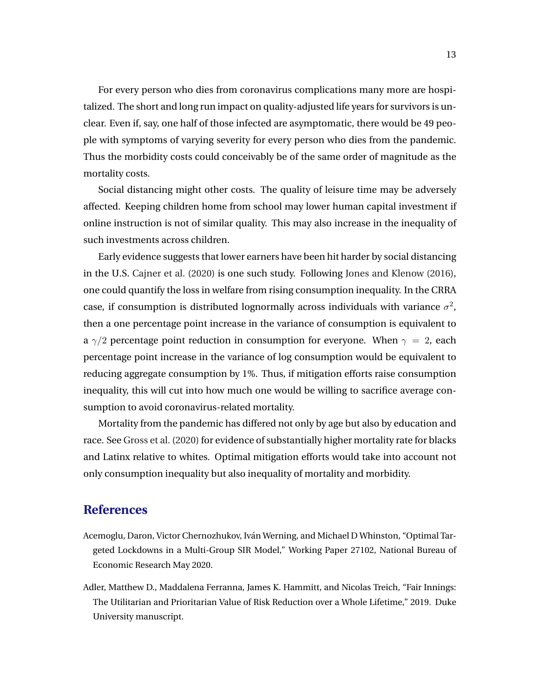<span id="page-14-0"></span>For every person who dies from coronavirus complications many more are hospitalized. The short and long run impact on quality-adjusted life years for survivors is unclear. Even if, say, one half of those infected are asymptomatic, there would be 49 people with symptoms of varying severity for every person who dies from the pandemic. Thus the morbidity costs could conceivably be of the same order of magnitude as the mortality costs.

Social distancing might other costs. The quality of leisure time may be adversely affected. Keeping children home from school may lower human capital investment if online instruction is not of similar quality. This may also increase in the inequality of such investments across children.

Early evidence suggests that lower earners have been hit harder by social distancing in the U.S. [Cajner et al.](#page-15-0) [\(2020\)](#page-15-0) is one such study. Following [Jones and Klenow](#page-15-0) [\(2016\)](#page-15-0), one could quantify the loss in welfare from rising consumption inequality. In the CRRA case, if consumption is distributed lognormally across individuals with variance  $\sigma^2$ , then a one percentage point increase in the variance of consumption is equivalent to a  $\gamma/2$  percentage point reduction in consumption for everyone. When  $\gamma = 2$ , each percentage point increase in the variance of log consumption would be equivalent to reducing aggregate consumption by 1%. Thus, if mitigation efforts raise consumption inequality, this will cut into how much one would be willing to sacrifice average consumption to avoid coronavirus-related mortality.

Mortality from the pandemic has differed not only by age but also by education and race. See [Gross et al.](#page-15-0) [\(2020\)](#page-15-0) for evidence of substantially higher mortality rate for blacks and Latinx relative to whites. Optimal mitigation efforts would take into account not only consumption inequality but also inequality of mortality and morbidity.

### **References**

- Acemoglu, Daron, Victor Chernozhukov, Iván Werning, and Michael D Whinston, "Optimal Targeted Lockdowns in a Multi-Group SIR Model," Working Paper 27102, National Bureau of Economic Research May 2020.
- Adler, Matthew D., Maddalena Ferranna, James K. Hammitt, and Nicolas Treich, "Fair Innings: The Utilitarian and Prioritarian Value of Risk Reduction over a Whole Lifetime," 2019. Duke University manuscript.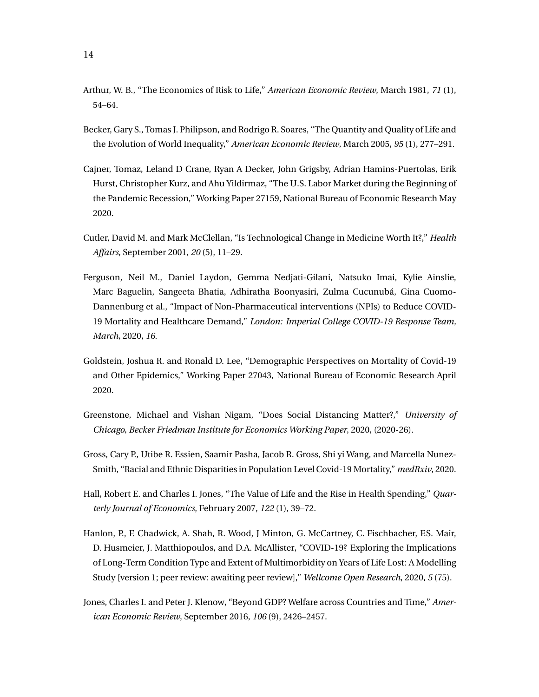- <span id="page-15-0"></span>Arthur, W. B., "The Economics of Risk to Life," *American Economic Review*, March 1981, *71* (1), 54–64.
- Becker, Gary S., Tomas J. Philipson, and Rodrigo R. Soares, "The Quantity and Quality of Life and the Evolution of World Inequality," *American Economic Review*, March 2005, *95* (1), 277–291.
- Cajner, Tomaz, Leland D Crane, Ryan A Decker, John Grigsby, Adrian Hamins-Puertolas, Erik Hurst, Christopher Kurz, and Ahu Yildirmaz, "The U.S. Labor Market during the Beginning of the Pandemic Recession," Working Paper 27159, National Bureau of Economic Research May 2020.
- Cutler, David M. and Mark McClellan, "Is Technological Change in Medicine Worth It?," *Health Affairs*, September 2001, *20* (5), 11–29.
- Ferguson, Neil M., Daniel Laydon, Gemma Nedjati-Gilani, Natsuko Imai, Kylie Ainslie, Marc Baguelin, Sangeeta Bhatia, Adhiratha Boonyasiri, Zulma Cucunubá, Gina Cuomo-Dannenburg et al., "Impact of Non-Pharmaceutical interventions (NPIs) to Reduce COVID-19 Mortality and Healthcare Demand," *London: Imperial College COVID-19 Response Team, March*, 2020, *16.*
- Goldstein, Joshua R. and Ronald D. Lee, "Demographic Perspectives on Mortality of Covid-19 and Other Epidemics," Working Paper 27043, National Bureau of Economic Research April 2020.
- Greenstone, Michael and Vishan Nigam, "Does Social Distancing Matter?," *University of Chicago, Becker Friedman Institute for Economics Working Paper*, 2020, (2020-26).
- Gross, Cary P., Utibe R. Essien, Saamir Pasha, Jacob R. Gross, Shi yi Wang, and Marcella Nunez-Smith, "Racial and Ethnic Disparities in Population Level Covid-19 Mortality," *medRxiv*, 2020.
- Hall, Robert E. and Charles I. Jones, "The Value of Life and the Rise in Health Spending," *Quarterly Journal of Economics*, February 2007, *122* (1), 39–72.
- Hanlon, P., F. Chadwick, A. Shah, R. Wood, J Minton, G. McCartney, C. Fischbacher, F.S. Mair, D. Husmeier, J. Matthiopoulos, and D.A. McAllister, "COVID-19? Exploring the Implications of Long-Term Condition Type and Extent of Multimorbidity on Years of Life Lost: A Modelling Study [version 1; peer review: awaiting peer review]," *Wellcome Open Research*, 2020, *5* (75).
- Jones, Charles I. and Peter J. Klenow, "Beyond GDP? Welfare across Countries and Time," *American Economic Review*, September 2016, *106* (9), 2426–2457.